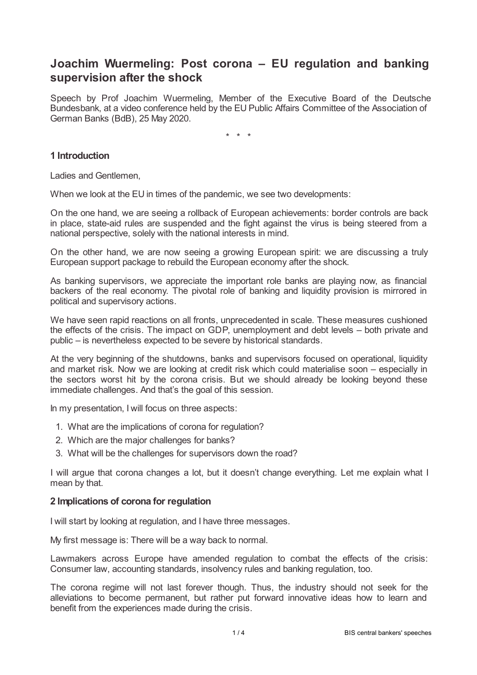# **Joachim Wuermeling: Post corona – EU regulation and banking supervision after the shock**

Speech by Prof Joachim Wuermeling, Member of the Executive Board of the Deutsche Bundesbank, at a video conference held by the EU Public Affairs Committee of the Association of German Banks (BdB), 25 May 2020.

\* \* \*

## **1 Introduction**

Ladies and Gentlemen,

When we look at the EU in times of the pandemic, we see two developments:

On the one hand, we are seeing a rollback of European achievements: border controls are back in place, state-aid rules are suspended and the fight against the virus is being steered from a national perspective, solely with the national interests in mind.

On the other hand, we are now seeing a growing European spirit: we are discussing a truly European support package to rebuild the European economy after the shock.

As banking supervisors, we appreciate the important role banks are playing now, as financial backers of the real economy. The pivotal role of banking and liquidity provision is mirrored in political and supervisory actions.

We have seen rapid reactions on all fronts, unprecedented in scale. These measures cushioned the effects of the crisis. The impact on GDP, unemployment and debt levels – both private and public – is nevertheless expected to be severe by historical standards.

At the very beginning of the shutdowns, banks and supervisors focused on operational, liquidity and market risk. Now we are looking at credit risk which could materialise soon – especially in the sectors worst hit by the corona crisis. But we should already be looking beyond these immediate challenges. And that's the goal of this session.

In my presentation, I will focus on three aspects:

- 1. What are the implications of corona for regulation?
- 2. Which are the major challenges for banks?
- 3. What will be the challenges for supervisors down the road?

I will argue that corona changes a lot, but it doesn't change everything. Let me explain what I mean by that.

### **2 Implications of corona for regulation**

I will start by looking at regulation, and I have three messages.

My first message is: There will be a way back to normal.

Lawmakers across Europe have amended regulation to combat the effects of the crisis: Consumer law, accounting standards, insolvency rules and banking regulation, too.

The corona regime will not last forever though. Thus, the industry should not seek for the alleviations to become permanent, but rather put forward innovative ideas how to learn and benefit from the experiences made during the crisis.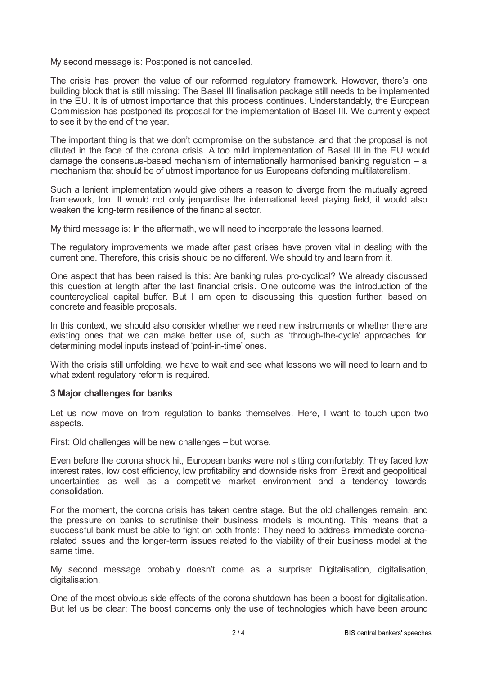My second message is: Postponed is not cancelled.

The crisis has proven the value of our reformed regulatory framework. However, there's one building block that is still missing: The Basel III finalisation package still needs to be implemented in the EU. It is of utmost importance that this process continues. Understandably, the European Commission has postponed its proposal for the implementation of Basel III. We currently expect to see it by the end of the year.

The important thing is that we don't compromise on the substance, and that the proposal is not diluted in the face of the corona crisis. A too mild implementation of Basel III in the EU would damage the consensus-based mechanism of internationally harmonised banking regulation – a mechanism that should be of utmost importance for us Europeans defending multilateralism.

Such a lenient implementation would give others a reason to diverge from the mutually agreed framework, too. It would not only jeopardise the international level playing field, it would also weaken the long-term resilience of the financial sector.

My third message is: In the aftermath, we will need to incorporate the lessons learned.

The regulatory improvements we made after past crises have proven vital in dealing with the current one. Therefore, this crisis should be no different. We should try and learn from it.

One aspect that has been raised is this: Are banking rules pro-cyclical? We already discussed this question at length after the last financial crisis. One outcome was the introduction of the countercyclical capital buffer. But I am open to discussing this question further, based on concrete and feasible proposals.

In this context, we should also consider whether we need new instruments or whether there are existing ones that we can make better use of, such as 'through-the-cycle' approaches for determining model inputs instead of 'point-in-time' ones.

With the crisis still unfolding, we have to wait and see what lessons we will need to learn and to what extent regulatory reform is required.

### **3 Major challenges for banks**

Let us now move on from regulation to banks themselves. Here, I want to touch upon two aspects.

First: Old challenges will be new challenges – but worse.

Even before the corona shock hit, European banks were not sitting comfortably: They faced low interest rates, low cost efficiency, low profitability and downside risks from Brexit and geopolitical uncertainties as well as a competitive market environment and a tendency towards consolidation.

For the moment, the corona crisis has taken centre stage. But the old challenges remain, and the pressure on banks to scrutinise their business models is mounting. This means that a successful bank must be able to fight on both fronts: They need to address immediate coronarelated issues and the longer-term issues related to the viability of their business model at the same time.

My second message probably doesn't come as a surprise: Digitalisation, digitalisation, digitalisation.

One of the most obvious side effects of the corona shutdown has been a boost for digitalisation. But let us be clear: The boost concerns only the use of technologies which have been around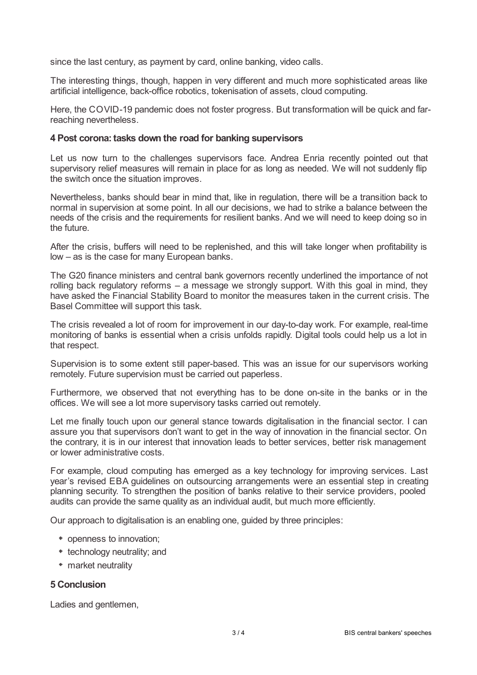since the last century, as payment by card, online banking, video calls.

The interesting things, though, happen in very different and much more sophisticated areas like artificial intelligence, back-office robotics, tokenisation of assets, cloud computing.

Here, the COVID-19 pandemic does not foster progress. But transformation will be quick and farreaching nevertheless.

### **4 Post corona: tasks down the road for banking supervisors**

Let us now turn to the challenges supervisors face. Andrea Enria recently pointed out that supervisory relief measures will remain in place for as long as needed. We will not suddenly flip the switch once the situation improves.

Nevertheless, banks should bear in mind that, like in regulation, there will be a transition back to normal in supervision at some point. In all our decisions, we had to strike a balance between the needs of the crisis and the requirements for resilient banks. And we will need to keep doing so in the future.

After the crisis, buffers will need to be replenished, and this will take longer when profitability is low – as is the case for many European banks.

The G20 finance ministers and central bank governors recently underlined the importance of not rolling back regulatory reforms – a message we strongly support. With this goal in mind, they have asked the Financial Stability Board to monitor the measures taken in the current crisis. The Basel Committee will support this task.

The crisis revealed a lot of room for improvement in our day-to-day work. For example, real-time monitoring of banks is essential when a crisis unfolds rapidly. Digital tools could help us a lot in that respect.

Supervision is to some extent still paper-based. This was an issue for our supervisors working remotely. Future supervision must be carried out paperless.

Furthermore, we observed that not everything has to be done on-site in the banks or in the offices. We will see a lot more supervisory tasks carried out remotely.

Let me finally touch upon our general stance towards digitalisation in the financial sector. I can assure you that supervisors don't want to get in the way of innovation in the financial sector. On the contrary, it is in our interest that innovation leads to better services, better risk management or lower administrative costs.

For example, cloud computing has emerged as a key technology for improving services. Last year's revised EBA guidelines on outsourcing arrangements were an essential step in creating planning security. To strengthen the position of banks relative to their service providers, pooled audits can provide the same quality as an individual audit, but much more efficiently.

Our approach to digitalisation is an enabling one, guided by three principles:

- openness to innovation;
- technology neutrality; and
- market neutrality

### **5 Conclusion**

Ladies and gentlemen,